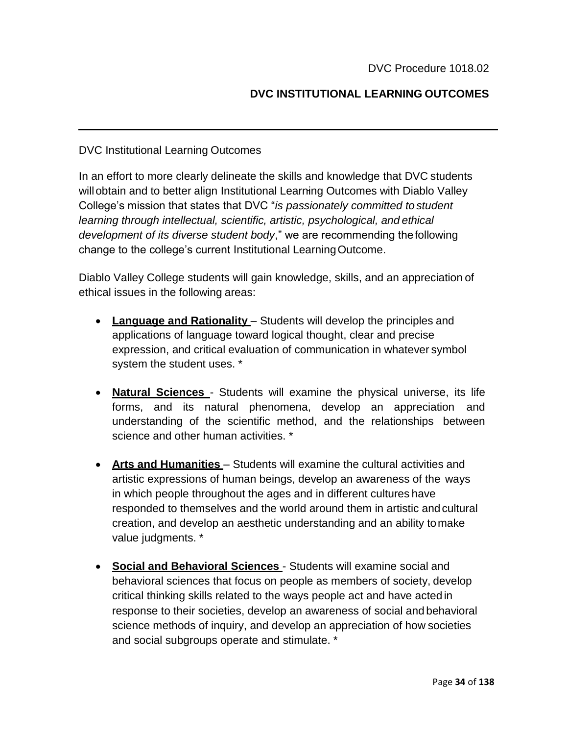## **DVC INSTITUTIONAL LEARNING OUTCOMES**

## DVC Institutional Learning Outcomes

In an effort to more clearly delineate the skills and knowledge that DVC students willobtain and to better align Institutional Learning Outcomes with Diablo Valley College's mission that states that DVC "*is passionately committed to student learning through intellectual, scientific, artistic, psychological, and ethical development of its diverse student body*," we are recommending thefollowing change to the college's current Institutional LearningOutcome.

Diablo Valley College students will gain knowledge, skills, and an appreciation of ethical issues in the following areas:

- **Language and Rationality** Students will develop the principles and applications of language toward logical thought, clear and precise expression, and critical evaluation of communication in whatever symbol system the student uses. \*
- **Natural Sciences** Students will examine the physical universe, its life forms, and its natural phenomena, develop an appreciation and understanding of the scientific method, and the relationships between science and other human activities. \*
- **Arts and Humanities**  Students will examine the cultural activities and artistic expressions of human beings, develop an awareness of the ways in which people throughout the ages and in different cultures have responded to themselves and the world around them in artistic andcultural creation, and develop an aesthetic understanding and an ability tomake value judgments. \*
- **Social and Behavioral Sciences**  Students will examine social and behavioral sciences that focus on people as members of society, develop critical thinking skills related to the ways people act and have acted in response to their societies, develop an awareness of social and behavioral science methods of inquiry, and develop an appreciation of how societies and social subgroups operate and stimulate. \*